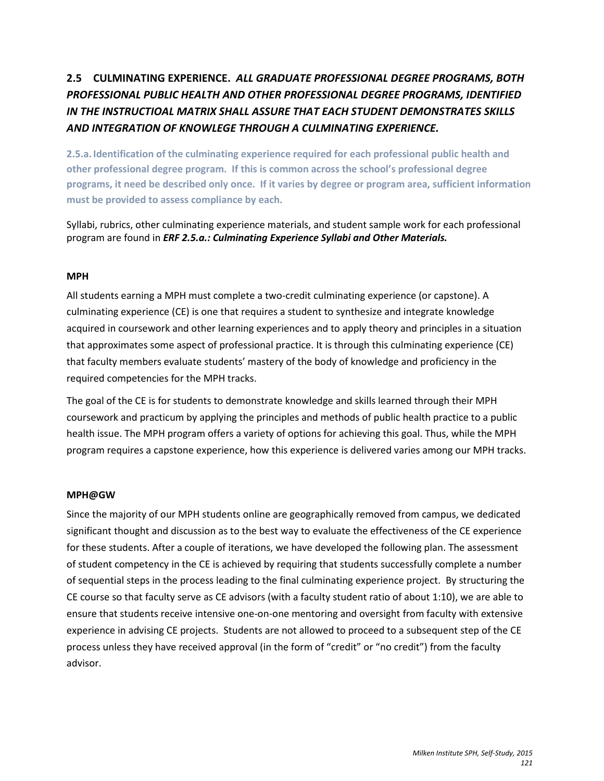# **2.5 CULMINATING EXPERIENCE.** *ALL GRADUATE PROFESSIONAL DEGREE PROGRAMS, BOTH PROFESSIONAL PUBLIC HEALTH AND OTHER PROFESSIONAL DEGREE PROGRAMS, IDENTIFIED IN THE INSTRUCTIOAL MATRIX SHALL ASSURE THAT EACH STUDENT DEMONSTRATES SKILLS AND INTEGRATION OF KNOWLEGE THROUGH A CULMINATING EXPERIENCE.*

**2.5.a. Identification of the culminating experience required for each professional public health and other professional degree program. If this is common across the school's professional degree programs, it need be described only once. If it varies by degree or program area, sufficient information must be provided to assess compliance by each.**

Syllabi, rubrics, other culminating experience materials, and student sample work for each professional program are found in *ERF 2.5.a.: Culminating Experience Syllabi and Other Materials.*

# **MPH**

All students earning a MPH must complete a two-credit culminating experience (or capstone). A culminating experience (CE) is one that requires a student to synthesize and integrate knowledge acquired in coursework and other learning experiences and to apply theory and principles in a situation that approximates some aspect of professional practice. It is through this culminating experience (CE) that faculty members evaluate students' mastery of the body of knowledge and proficiency in the required competencies for the MPH tracks.

The goal of the CE is for students to demonstrate knowledge and skills learned through their MPH coursework and practicum by applying the principles and methods of public health practice to a public health issue. The MPH program offers a variety of options for achieving this goal. Thus, while the MPH program requires a capstone experience, how this experience is delivered varies among our MPH tracks.

# **MPH@GW**

Since the majority of our MPH students online are geographically removed from campus, we dedicated significant thought and discussion as to the best way to evaluate the effectiveness of the CE experience for these students. After a couple of iterations, we have developed the following plan. The assessment of student competency in the CE is achieved by requiring that students successfully complete a number of sequential steps in the process leading to the final culminating experience project. By structuring the CE course so that faculty serve as CE advisors (with a faculty student ratio of about 1:10), we are able to ensure that students receive intensive one-on-one mentoring and oversight from faculty with extensive experience in advising CE projects. Students are not allowed to proceed to a subsequent step of the CE process unless they have received approval (in the form of "credit" or "no credit") from the faculty advisor.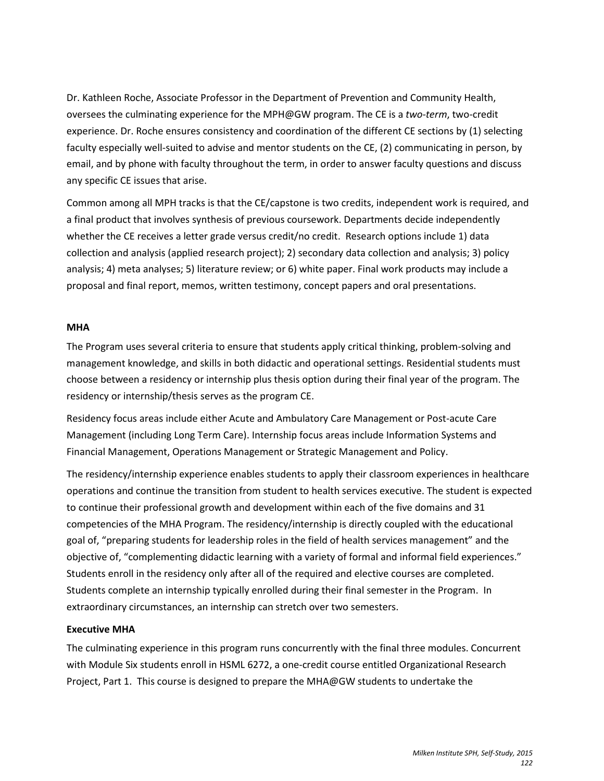Dr. Kathleen Roche, Associate Professor in the Department of Prevention and Community Health, oversees the culminating experience for the MPH@GW program. The CE is a *two-term*, two-credit experience. Dr. Roche ensures consistency and coordination of the different CE sections by (1) selecting faculty especially well-suited to advise and mentor students on the CE, (2) communicating in person, by email, and by phone with faculty throughout the term, in order to answer faculty questions and discuss any specific CE issues that arise.

Common among all MPH tracks is that the CE/capstone is two credits, independent work is required, and a final product that involves synthesis of previous coursework. Departments decide independently whether the CE receives a letter grade versus credit/no credit. Research options include 1) data collection and analysis (applied research project); 2) secondary data collection and analysis; 3) policy analysis; 4) meta analyses; 5) literature review; or 6) white paper. Final work products may include a proposal and final report, memos, written testimony, concept papers and oral presentations.

#### **MHA**

The Program uses several criteria to ensure that students apply critical thinking, problem-solving and management knowledge, and skills in both didactic and operational settings. Residential students must choose between a residency or internship plus thesis option during their final year of the program. The residency or internship/thesis serves as the program CE.

Residency focus areas include either Acute and Ambulatory Care Management or Post-acute Care Management (including Long Term Care). Internship focus areas include Information Systems and Financial Management, Operations Management or Strategic Management and Policy.

The residency/internship experience enables students to apply their classroom experiences in healthcare operations and continue the transition from student to health services executive. The student is expected to continue their professional growth and development within each of the five domains and 31 competencies of the MHA Program. The residency/internship is directly coupled with the educational goal of, "preparing students for leadership roles in the field of health services management" and the objective of, "complementing didactic learning with a variety of formal and informal field experiences." Students enroll in the residency only after all of the required and elective courses are completed. Students complete an internship typically enrolled during their final semester in the Program. In extraordinary circumstances, an internship can stretch over two semesters.

# **Executive MHA**

The culminating experience in this program runs concurrently with the final three modules. Concurrent with Module Six students enroll in HSML 6272, a one-credit course entitled Organizational Research Project, Part 1. This course is designed to prepare the MHA@GW students to undertake the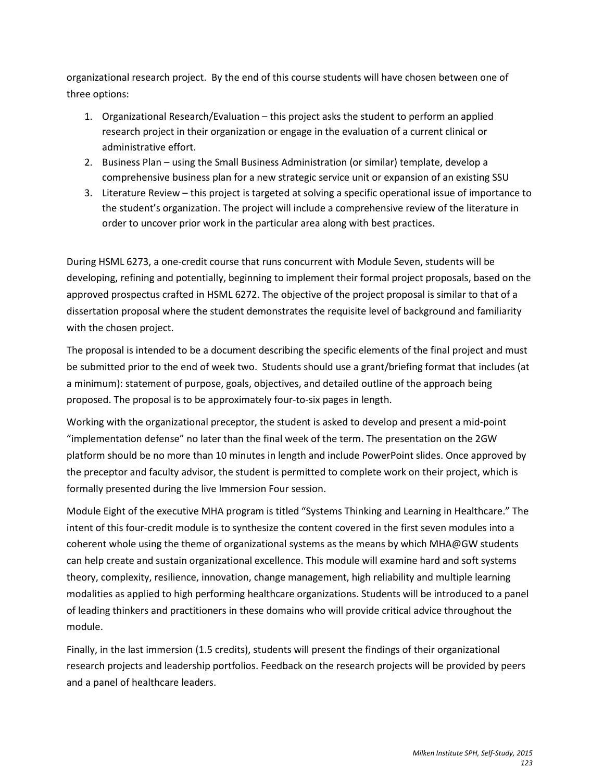organizational research project. By the end of this course students will have chosen between one of three options:

- 1. Organizational Research/Evaluation this project asks the student to perform an applied research project in their organization or engage in the evaluation of a current clinical or administrative effort.
- 2. Business Plan using the Small Business Administration (or similar) template, develop a comprehensive business plan for a new strategic service unit or expansion of an existing SSU
- 3. Literature Review this project is targeted at solving a specific operational issue of importance to the student's organization. The project will include a comprehensive review of the literature in order to uncover prior work in the particular area along with best practices.

During HSML 6273, a one-credit course that runs concurrent with Module Seven, students will be developing, refining and potentially, beginning to implement their formal project proposals, based on the approved prospectus crafted in HSML 6272. The objective of the project proposal is similar to that of a dissertation proposal where the student demonstrates the requisite level of background and familiarity with the chosen project.

The proposal is intended to be a document describing the specific elements of the final project and must be submitted prior to the end of week two. Students should use a grant/briefing format that includes (at a minimum): statement of purpose, goals, objectives, and detailed outline of the approach being proposed. The proposal is to be approximately four-to-six pages in length.

Working with the organizational preceptor, the student is asked to develop and present a mid-point "implementation defense" no later than the final week of the term. The presentation on the 2GW platform should be no more than 10 minutes in length and include PowerPoint slides. Once approved by the preceptor and faculty advisor, the student is permitted to complete work on their project, which is formally presented during the live Immersion Four session.

Module Eight of the executive MHA program is titled "Systems Thinking and Learning in Healthcare." The intent of this four-credit module is to synthesize the content covered in the first seven modules into a coherent whole using the theme of organizational systems as the means by which MHA@GW students can help create and sustain organizational excellence. This module will examine hard and soft systems theory, complexity, resilience, innovation, change management, high reliability and multiple learning modalities as applied to high performing healthcare organizations. Students will be introduced to a panel of leading thinkers and practitioners in these domains who will provide critical advice throughout the module.

Finally, in the last immersion (1.5 credits), students will present the findings of their organizational research projects and leadership portfolios. Feedback on the research projects will be provided by peers and a panel of healthcare leaders.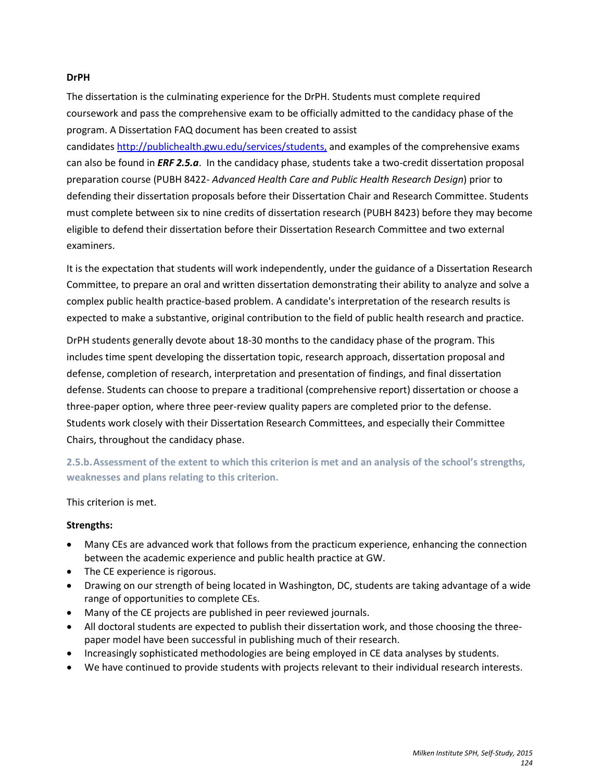#### **DrPH**

The dissertation is the culminating experience for the DrPH. Students must complete required coursework and pass the comprehensive exam to be officially admitted to the candidacy phase of the program. A Dissertation FAQ document has been created to assist

candidate[s http://publichealth.gwu.edu/services/students,](http://publichealth.gwu.edu/services/students) and examples of the comprehensive exams can also be found in *ERF 2.5.a*. In the candidacy phase, students take a two-credit dissertation proposal preparation course (PUBH 8422- *Advanced Health Care and Public Health Research Design*) prior to defending their dissertation proposals before their Dissertation Chair and Research Committee. Students must complete between six to nine credits of dissertation research (PUBH 8423) before they may become eligible to defend their dissertation before their Dissertation Research Committee and two external examiners.

It is the expectation that students will work independently, under the guidance of a Dissertation Research Committee, to prepare an oral and written dissertation demonstrating their ability to analyze and solve a complex public health practice-based problem. A candidate's interpretation of the research results is expected to make a substantive, original contribution to the field of public health research and practice.

DrPH students generally devote about 18-30 months to the candidacy phase of the program. This includes time spent developing the dissertation topic, research approach, dissertation proposal and defense, completion of research, interpretation and presentation of findings, and final dissertation defense. Students can choose to prepare a traditional (comprehensive report) dissertation or choose a three-paper option, where three peer-review quality papers are completed prior to the defense. Students work closely with their Dissertation Research Committees, and especially their Committee Chairs, throughout the candidacy phase.

**2.5.b.Assessment of the extent to which this criterion is met and an analysis of the school's strengths, weaknesses and plans relating to this criterion.**

# This criterion is met.

# **Strengths:**

- Many CEs are advanced work that follows from the practicum experience, enhancing the connection between the academic experience and public health practice at GW.
- The CE experience is rigorous.
- Drawing on our strength of being located in Washington, DC, students are taking advantage of a wide range of opportunities to complete CEs.
- Many of the CE projects are published in peer reviewed journals.
- All doctoral students are expected to publish their dissertation work, and those choosing the threepaper model have been successful in publishing much of their research.
- Increasingly sophisticated methodologies are being employed in CE data analyses by students.
- We have continued to provide students with projects relevant to their individual research interests.